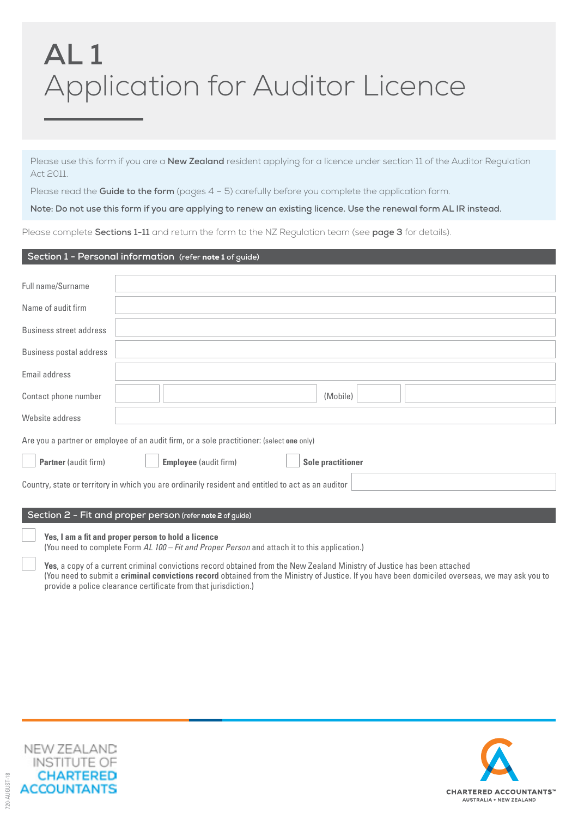# **AL 1** Application for Auditor Licence

Please use this form if you are a **New Zealand** resident applying for a licence under section 11 of the Auditor Regulation Act 2011.

Please read the **Guide to the form** (pages 4 - 5) carefully before you complete the application form.

**Note: Do not use this form if you are applying to renew an existing licence. Use the renewal form AL IR instead.**

Please complete **Sections 1-11** and return the form to the NZ Regulation team (see **page 3** for details).

#### **Section 1 - Personal information (refer** note 1 **of guide)**

| Full name/Surname              |                                                                                                    |                          |  |
|--------------------------------|----------------------------------------------------------------------------------------------------|--------------------------|--|
| Name of audit firm             |                                                                                                    |                          |  |
| <b>Business street address</b> |                                                                                                    |                          |  |
| <b>Business postal address</b> |                                                                                                    |                          |  |
| Email address                  |                                                                                                    |                          |  |
| Contact phone number           |                                                                                                    | (Mobile)                 |  |
| Website address                |                                                                                                    |                          |  |
|                                | Are you a partner or employee of an audit firm, or a sole practitioner: (select one only)          |                          |  |
| <b>Partner</b> (audit firm)    | <b>Employee</b> (audit firm)                                                                       | <b>Sole practitioner</b> |  |
|                                | Country, state or territory in which you are ordinarily resident and entitled to act as an auditor |                          |  |
|                                |                                                                                                    |                          |  |
|                                | Section 2 - Fit and proper person (refer note 2 of guide)                                          |                          |  |

**Yes, I am a fit and proper person to hold a licence**

(You need to complete Form *AL 100 – Fit and Proper Person* and attach it to this application.)

**Yes**, a copy of a current criminal convictions record obtained from the New Zealand Ministry of Justice has been attached (You need to submit a **criminal convictions record** obtained from the Ministry of Justice. If you have been domiciled overseas, we may ask you to provide a police clearance certificate from that jurisdiction.)



720-AUGUST-18

20-AUGUST-18

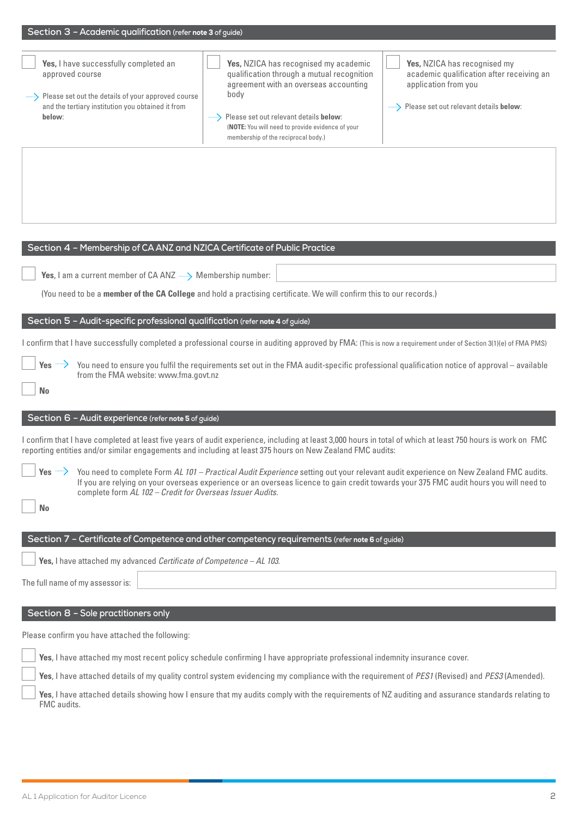|  |  |  |  | Section 3 - Academic qualification (refer note 3 of guide) |
|--|--|--|--|------------------------------------------------------------|
|--|--|--|--|------------------------------------------------------------|

| Yes, I have successfully completed an<br>approved course<br>Please set out the details of your approved course<br>and the tertiary institution you obtained it from<br>below:                                                                                            | Yes, NZICA has recognised my academic<br>qualification through a mutual recognition<br>agreement with an overseas accounting<br>body<br>Please set out relevant details below:<br>(NOTE: You will need to provide evidence of your<br>membership of the reciprocal body.)           | Yes, NZICA has recognised my<br>academic qualification after receiving an<br>application from you<br>-------> Please set out relevant details below: |
|--------------------------------------------------------------------------------------------------------------------------------------------------------------------------------------------------------------------------------------------------------------------------|-------------------------------------------------------------------------------------------------------------------------------------------------------------------------------------------------------------------------------------------------------------------------------------|------------------------------------------------------------------------------------------------------------------------------------------------------|
|                                                                                                                                                                                                                                                                          |                                                                                                                                                                                                                                                                                     |                                                                                                                                                      |
| Section 4 - Membership of CA ANZ and NZICA Certificate of Public Practice                                                                                                                                                                                                |                                                                                                                                                                                                                                                                                     |                                                                                                                                                      |
| Yes, I am a current member of CA ANZ - Membership number:                                                                                                                                                                                                                |                                                                                                                                                                                                                                                                                     |                                                                                                                                                      |
|                                                                                                                                                                                                                                                                          | (You need to be a member of the CA College and hold a practising certificate. We will confirm this to our records.)                                                                                                                                                                 |                                                                                                                                                      |
| Section 5 - Audit-specific professional qualification (refer note 4 of guide)                                                                                                                                                                                            |                                                                                                                                                                                                                                                                                     |                                                                                                                                                      |
| I confirm that I have successfully completed a professional course in auditing approved by FMA: (This is now a requirement under of Section 3(1)(e) of FMA PMS)                                                                                                          |                                                                                                                                                                                                                                                                                     |                                                                                                                                                      |
| Yes $\rightarrow$<br>from the FMA website: www.fma.govt.nz<br><b>No</b>                                                                                                                                                                                                  | You need to ensure you fulfil the requirements set out in the FMA audit-specific professional qualification notice of approval - available                                                                                                                                          |                                                                                                                                                      |
| Section 6 - Audit experience (refer note 5 of guide)                                                                                                                                                                                                                     |                                                                                                                                                                                                                                                                                     |                                                                                                                                                      |
| I confirm that I have completed at least five years of audit experience, including at least 3,000 hours in total of which at least 750 hours is work on FMC<br>reporting entities and/or similar engagements and including at least 375 hours on New Zealand FMC audits: |                                                                                                                                                                                                                                                                                     |                                                                                                                                                      |
| complete form AL 102 - Credit for Overseas Issuer Audits.<br><b>No</b>                                                                                                                                                                                                   | Yes - You need to complete Form AL 101 - Practical Audit Experience setting out your relevant audit experience on New Zealand FMC audits.<br>If you are relying on your overseas experience or an overseas licence to gain credit towards your 375 FMC audit hours you will need to |                                                                                                                                                      |
|                                                                                                                                                                                                                                                                          |                                                                                                                                                                                                                                                                                     |                                                                                                                                                      |
|                                                                                                                                                                                                                                                                          | Section 7 - Certificate of Competence and other competency requirements (refer note 6 of guide)                                                                                                                                                                                     |                                                                                                                                                      |
| Yes, I have attached my advanced Certificate of Competence - AL 103.                                                                                                                                                                                                     |                                                                                                                                                                                                                                                                                     |                                                                                                                                                      |
| The full name of my assessor is:                                                                                                                                                                                                                                         |                                                                                                                                                                                                                                                                                     |                                                                                                                                                      |
| Section 8 - Sole practitioners only                                                                                                                                                                                                                                      |                                                                                                                                                                                                                                                                                     |                                                                                                                                                      |
| Please confirm you have attached the following:                                                                                                                                                                                                                          |                                                                                                                                                                                                                                                                                     |                                                                                                                                                      |
|                                                                                                                                                                                                                                                                          | Yes, I have attached my most recent policy schedule confirming I have appropriate professional indemnity insurance cover.                                                                                                                                                           |                                                                                                                                                      |
|                                                                                                                                                                                                                                                                          | Yes, I have attached details of my quality control system evidencing my compliance with the requirement of PES1 (Revised) and PES3 (Amended).                                                                                                                                       |                                                                                                                                                      |
| FMC audits.                                                                                                                                                                                                                                                              | Yes, I have attached details showing how I ensure that my audits comply with the requirements of NZ auditing and assurance standards relating to                                                                                                                                    |                                                                                                                                                      |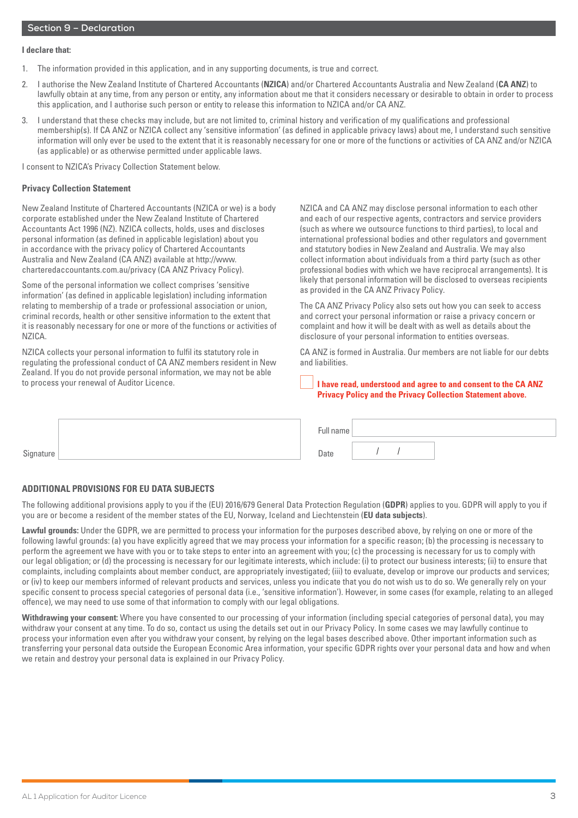#### **I declare that:**

- 1. The information provided in this application, and in any supporting documents, is true and correct.
- 2. I authorise the New Zealand Institute of Chartered Accountants (**NZICA**) and/or Chartered Accountants Australia and New Zealand (**CA ANZ**) to lawfully obtain at any time, from any person or entity, any information about me that it considers necessary or desirable to obtain in order to process this application, and I authorise such person or entity to release this information to NZICA and/or CA ANZ.
- 3. I understand that these checks may include, but are not limited to, criminal history and verification of my qualifications and professional membership(s). If CA ANZ or NZICA collect any 'sensitive information' (as defined in applicable privacy laws) about me, I understand such sensitive information will only ever be used to the extent that it is reasonably necessary for one or more of the functions or activities of CA ANZ and/or NZICA (as applicable) or as otherwise permitted under applicable laws.

I consent to NZICA's Privacy Collection Statement below.

#### **Privacy Collection Statement**

New Zealand Institute of Chartered Accountants (NZICA or we) is a body corporate established under the New Zealand Institute of Chartered Accountants Act 1996 (NZ). NZICA collects, holds, uses and discloses personal information (as defined in applicable legislation) about you in accordance with the privacy policy of Chartered Accountants Australia and New Zealand (CA ANZ) available at http://www. charteredaccountants.com.au/privacy (CA ANZ Privacy Policy).

Some of the personal information we collect comprises 'sensitive information' (as defined in applicable legislation) including information relating to membership of a trade or professional association or union, criminal records, health or other sensitive information to the extent that it is reasonably necessary for one or more of the functions or activities of NZICA.

NZICA collects your personal information to fulfil its statutory role in regulating the professional conduct of CA ANZ members resident in New Zealand. If you do not provide personal information, we may not be able to process your renewal of Auditor Licence.

NZICA and CA ANZ may disclose personal information to each other and each of our respective agents, contractors and service providers (such as where we outsource functions to third parties), to local and international professional bodies and other regulators and government and statutory bodies in New Zealand and Australia. We may also collect information about individuals from a third party (such as other professional bodies with which we have reciprocal arrangements). It is likely that personal information will be disclosed to overseas recipients as provided in the CA ANZ Privacy Policy.

The CA ANZ Privacy Policy also sets out how you can seek to access and correct your personal information or raise a privacy concern or complaint and how it will be dealt with as well as details about the disclosure of your personal information to entities overseas.

CA ANZ is formed in Australia. Our members are not liable for our debts and liabilities.

| I have read, understood and agree to and consent to the CA ANZ    |
|-------------------------------------------------------------------|
| <b>Privacy Policy and the Privacy Collection Statement above.</b> |

|           | $\overline{\phantom{a}}$<br>ull name |  |  |
|-----------|--------------------------------------|--|--|
| Signature | Date                                 |  |  |

#### **ADDITIONAL PROVISIONS FOR EU DATA SUBJECTS**

The following additional provisions apply to you if the (EU) 2016/679 General Data Protection Regulation (**GDPR**) applies to you. GDPR will apply to you if you are or become a resident of the member states of the EU, Norway, Iceland and Liechtenstein (**EU data subjects**).

**Lawful grounds:** Under the GDPR, we are permitted to process your information for the purposes described above, by relying on one or more of the following lawful grounds: (a) you have explicitly agreed that we may process your information for a specific reason; (b) the processing is necessary to perform the agreement we have with you or to take steps to enter into an agreement with you; (c) the processing is necessary for us to comply with our legal obligation; or (d) the processing is necessary for our legitimate interests, which include: (i) to protect our business interests; (ii) to ensure that complaints, including complaints about member conduct, are appropriately investigated; (iii) to evaluate, develop or improve our products and services; or (iv) to keep our members informed of relevant products and services, unless you indicate that you do not wish us to do so. We generally rely on your specific consent to process special categories of personal data (i.e., 'sensitive information'). However, in some cases (for example, relating to an alleged offence), we may need to use some of that information to comply with our legal obligations.

**Withdrawing your consent:** Where you have consented to our processing of your information (including special categories of personal data), you may withdraw your consent at any time. To do so, contact us using the details set out in our Privacy Policy. In some cases we may lawfully continue to process your information even after you withdraw your consent, by relying on the legal bases described above. Other important information such as transferring your personal data outside the European Economic Area information, your specific GDPR rights over your personal data and how and when we retain and destroy your personal data is explained in our Privacy Policy.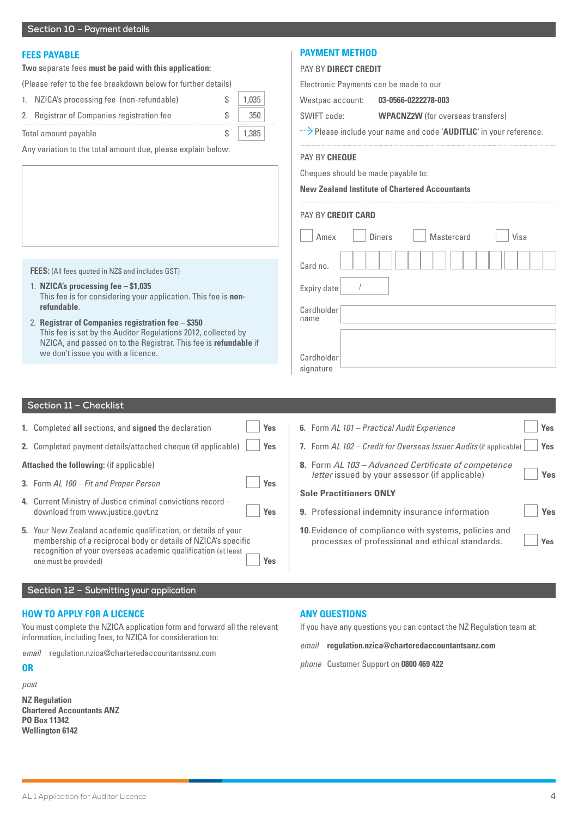# **FEES PAYABLE**

#### **Two s**eparate fees **must be paid with this application:**

| (Please refer to the fee breakdown below for further details) |  |
|---------------------------------------------------------------|--|
|---------------------------------------------------------------|--|

| 1. NZICA's processing fee (non-refundable) |  | 1,035 |
|--------------------------------------------|--|-------|
|                                            |  |       |

2. Registrar of Companies registration fee  $\sim$  \$ 350

Total amount payable  $\sim$  \$ | 1,385

Any variation to the total amount due, please explain below:

# **PAYMENT METHOD**

# PAY BY **DIRECT CREDIT**

Electronic Payments can be made to our

Westpac account: **03-0566-0222278-003** 

SWIFT code: **WPACNZ2W** (for overseas transfers)

Please include your name and code '**AUDITLIC**' in your reference.

#### PAY BY **CHEQUE**

Cheques should be made payable to:

#### **New Zealand Institute of Chartered Accountants**

| <b>PAY BY CREDIT CARD</b> |                                     |
|---------------------------|-------------------------------------|
| Amex                      | <b>Diners</b><br>Mastercard<br>Visa |
| Card no.                  |                                     |
| Expiry date               |                                     |
| Cardholder<br>name        |                                     |
|                           |                                     |
| Cardholder<br>signature   |                                     |

# 1. **NZICA's processing fee – \$1,035**

**FEES:** (All fees quoted in NZ\$ and includes GST)

- This fee is for considering your application. This fee is **nonrefundable**.
- 2. **Registrar of Companies registration fee \$350** This fee is set by the Auditor Regulations 2012, collected by NZICA, and passed on to the Registrar. This fee is **refundable** if we don't issue you with a licence.

# **Section 11 – Checklist**

|  |  |  |  | <b>1.</b> Completed all sections, and signed the declaration |  | Yes |
|--|--|--|--|--------------------------------------------------------------|--|-----|
|--|--|--|--|--------------------------------------------------------------|--|-----|

**2.** Completed payment details/attached cheque (if applicable) **Yes**

# **Attached the following:** (if applicable)

- **3.** Form AL 100 Fit and Proper Person **Yes**
- **4.** Current Ministry of Justice criminal convictions record download from www.justice.govt.nz **Yes**
- **5.** Your New Zealand academic qualification, or details of your membership of a reciprocal body or details of NZICA's specific recognition of your overseas academic qualification (at least one must be provided) **Yes**

| <b>6.</b> Form AL 101 – Practical Audit Experience                                                           | Yes |
|--------------------------------------------------------------------------------------------------------------|-----|
| <b>7.</b> Form AL 102 – Credit for Overseas Issuer Audits (if applicable)                                    | Yes |
| 8. Form AL 103 - Advanced Certificate of competence<br><i>letter</i> issued by your assessor (if applicable) | Yes |
|                                                                                                              |     |
| <b>Sole Practitioners ONLY</b>                                                                               |     |
| 9. Professional indemnity insurance information                                                              | Yes |

# **Section 12 – Submitting your application**

### **HOW TO APPLY FOR A LICENCE**

You must complete the NZICA application form and forward all the relevant information, including fees, to NZICA for consideration to:

*email* regulation.nzica@charteredaccountantsanz.com

#### **OR**

*post*

**NZ Regulation Chartered Accountants ANZ PO Box 11342 Wellington 6142**

#### **ANY QUESTIONS**

If you have any questions you can contact the NZ Regulation team at:

*email* **regulation.nzica@charteredaccountantsanz.com**

*phone* Customer Support on **0800 469 422**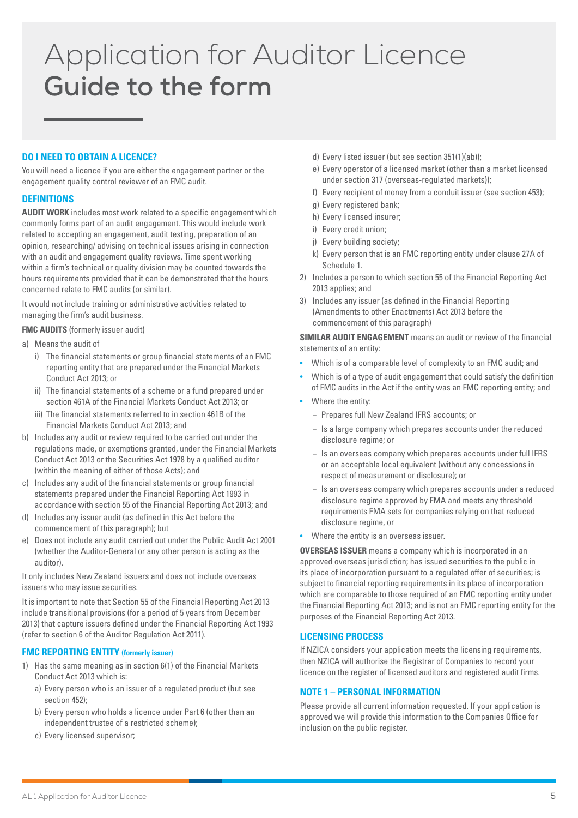# Application for Auditor Licence **Guide to the form**

# **DO I NEED TO OBTAIN A LICENCE?**

You will need a licence if you are either the engagement partner or the engagement quality control reviewer of an FMC audit.

### **DEFINITIONS**

**AUDIT WORK** includes most work related to a specific engagement which commonly forms part of an audit engagement. This would include work related to accepting an engagement, audit testing, preparation of an opinion, researching/ advising on technical issues arising in connection with an audit and engagement quality reviews. Time spent working within a firm's technical or quality division may be counted towards the hours requirements provided that it can be demonstrated that the hours concerned relate to FMC audits (or similar).

It would not include training or administrative activities related to managing the firm's audit business.

#### **FMC AUDITS** (formerly issuer audit)

- a) Means the audit of
	- i) The financial statements or group financial statements of an FMC reporting entity that are prepared under the Financial Markets Conduct Act 2013; or
	- ii) The financial statements of a scheme or a fund prepared under section 461A of the Financial Markets Conduct Act 2013; or
	- iii) The financial statements referred to in section 461B of the Financial Markets Conduct Act 2013; and
- b) Includes any audit or review required to be carried out under the regulations made, or exemptions granted, under the Financial Markets Conduct Act 2013 or the Securities Act 1978 by a qualified auditor (within the meaning of either of those Acts); and
- c) Includes any audit of the financial statements or group financial statements prepared under the Financial Reporting Act 1993 in accordance with section 55 of the Financial Reporting Act 2013; and
- d) Includes any issuer audit (as defined in this Act before the commencement of this paragraph); but
- e) Does not include any audit carried out under the Public Audit Act 2001 (whether the Auditor-General or any other person is acting as the auditor).

It only includes New Zealand issuers and does not include overseas issuers who may issue securities.

It is important to note that Section 55 of the Financial Reporting Act 2013 include transitional provisions (for a period of 5 years from December 2013) that capture issuers defined under the Financial Reporting Act 1993 (refer to section 6 of the Auditor Regulation Act 2011).

#### **FMC REPORTING ENTITY (formerly issuer)**

- 1) Has the same meaning as in section 6(1) of the Financial Markets Conduct Act 2013 which is:
	- a) Every person who is an issuer of a regulated product (but see section 452);
	- b) Every person who holds a licence under Part 6 (other than an independent trustee of a restricted scheme);
	- c) Every licensed supervisor;
- d) Every listed issuer (but see section 351(1)(ab));
- e) Every operator of a licensed market (other than a market licensed under section 317 (overseas-regulated markets));
- f) Every recipient of money from a conduit issuer (see section 453);
- g) Every registered bank;
- h) Every licensed insurer;
- i) Every credit union;
- j) Every building society;
- k) Every person that is an FMC reporting entity under clause 27A of Schedule 1.
- 2) Includes a person to which section 55 of the Financial Reporting Act 2013 applies; and
- 3) Includes any issuer (as defined in the Financial Reporting (Amendments to other Enactments) Act 2013 before the commencement of this paragraph)

**SIMILAR AUDIT ENGAGEMENT** means an audit or review of the financial statements of an entity:

- Which is of a comparable level of complexity to an FMC audit; and
- Which is of a type of audit engagement that could satisfy the definition of FMC audits in the Act if the entity was an FMC reporting entity; and
- Where the entity:
	- − Prepares full New Zealand IFRS accounts; or
	- − Is a large company which prepares accounts under the reduced disclosure regime; or
	- − Is an overseas company which prepares accounts under full IFRS or an acceptable local equivalent (without any concessions in respect of measurement or disclosure); or
	- − Is an overseas company which prepares accounts under a reduced disclosure regime approved by FMA and meets any threshold requirements FMA sets for companies relying on that reduced disclosure regime, or
- Where the entity is an overseas issuer.

**OVERSEAS ISSUER** means a company which is incorporated in an approved overseas jurisdiction; has issued securities to the public in its place of incorporation pursuant to a regulated offer of securities; is subject to financial reporting requirements in its place of incorporation which are comparable to those required of an FMC reporting entity under the Financial Reporting Act 2013; and is not an FMC reporting entity for the purposes of the Financial Reporting Act 2013.

#### **LICENSING PROCESS**

If NZICA considers your application meets the licensing requirements, then NZICA will authorise the Registrar of Companies to record your licence on the register of licensed auditors and registered audit firms.

#### **NOTE 1 – PERSONAL INFORMATION**

Please provide all current information requested. If your application is approved we will provide this information to the Companies Office for inclusion on the public register.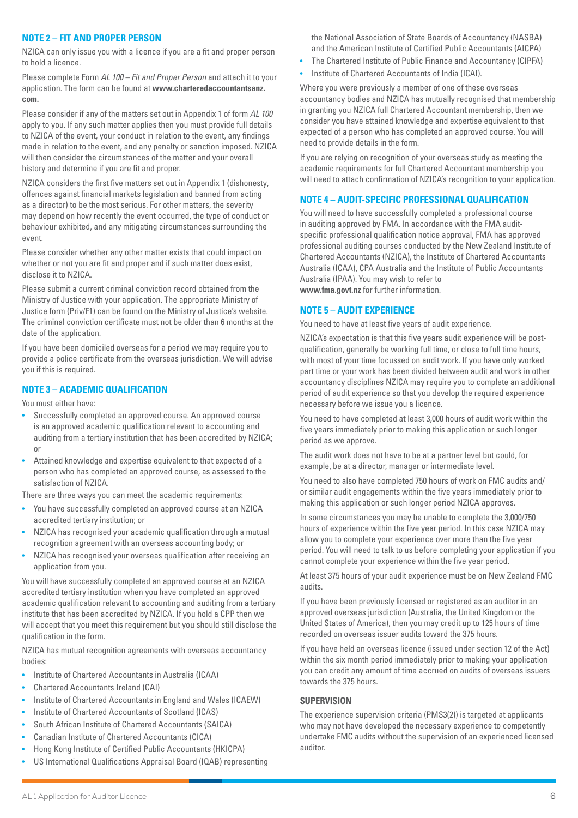# **NOTE 2 – FIT AND PROPER PERSON**

NZICA can only issue you with a licence if you are a fit and proper person to hold a licence.

Please complete Form AL 100 – Fit and Proper Person and attach it to your application. The form can be found at **www.charteredaccountantsanz. com.**

Please consider if any of the matters set out in Appendix 1 of form AL 100 apply to you. If any such matter applies then you must provide full details to NZICA of the event, your conduct in relation to the event, any findings made in relation to the event, and any penalty or sanction imposed. NZICA will then consider the circumstances of the matter and your overall history and determine if you are fit and proper.

NZICA considers the first five matters set out in Appendix 1 (dishonesty, offences against financial markets legislation and banned from acting as a director) to be the most serious. For other matters, the severity may depend on how recently the event occurred, the type of conduct or behaviour exhibited, and any mitigating circumstances surrounding the event.

Please consider whether any other matter exists that could impact on whether or not you are fit and proper and if such matter does exist, disclose it to NZICA.

Please submit a current criminal conviction record obtained from the Ministry of Justice with your application. The appropriate Ministry of Justice form (Priv/F1) can be found on the Ministry of Justice's website. The criminal conviction certificate must not be older than 6 months at the date of the application.

If you have been domiciled overseas for a period we may require you to provide a police certificate from the overseas jurisdiction. We will advise you if this is required.

# **NOTE 3 – ACADEMIC QUALIFICATION**

You must either have:

- Successfully completed an approved course. An approved course is an approved academic qualification relevant to accounting and auditing from a tertiary institution that has been accredited by NZICA; or
- Attained knowledge and expertise equivalent to that expected of a person who has completed an approved course, as assessed to the satisfaction of NZICA.

There are three ways you can meet the academic requirements:

- You have successfully completed an approved course at an NZICA accredited tertiary institution; or
- NZICA has recognised your academic qualification through a mutual recognition agreement with an overseas accounting body; or
- NZICA has recognised your overseas qualification after receiving an application from you.

You will have successfully completed an approved course at an NZICA accredited tertiary institution when you have completed an approved academic qualification relevant to accounting and auditing from a tertiary institute that has been accredited by NZICA. If you hold a CPP then we will accept that you meet this requirement but you should still disclose the qualification in the form.

NZICA has mutual recognition agreements with overseas accountancy bodies:

- Institute of Chartered Accountants in Australia (ICAA)
- Chartered Accountants Ireland (CAI)
- Institute of Chartered Accountants in England and Wales (ICAEW)
- Institute of Chartered Accountants of Scotland (ICAS)
- South African Institute of Chartered Accountants (SAICA)
- Canadian Institute of Chartered Accountants (CICA)
- Hong Kong Institute of Certified Public Accountants (HKICPA)
- US International Qualifications Appraisal Board (IQAB) representing

the National Association of State Boards of Accountancy (NASBA) and the American Institute of Certified Public Accountants (AICPA)

- The Chartered Institute of Public Finance and Accountancy (CIPFA)
- Institute of Chartered Accountants of India (ICAI).

Where you were previously a member of one of these overseas accountancy bodies and NZICA has mutually recognised that membership in granting you NZICA full Chartered Accountant membership, then we consider you have attained knowledge and expertise equivalent to that expected of a person who has completed an approved course. You will need to provide details in the form.

If you are relying on recognition of your overseas study as meeting the academic requirements for full Chartered Accountant membership you will need to attach confirmation of NZICA's recognition to your application.

# **NOTE 4 – AUDIT-SPECIFIC PROFESSIONAL QUALIFICATION**

You will need to have successfully completed a professional course in auditing approved by FMA. In accordance with the FMA auditspecific professional qualification notice approval, FMA has approved professional auditing courses conducted by the New Zealand Institute of Chartered Accountants (NZICA), the Institute of Chartered Accountants Australia (ICAA), CPA Australia and the Institute of Public Accountants Australia (IPAA). You may wish to refer to **www.fma.govt.nz** for further information.

**NOTE 5 – AUDIT EXPERIENCE**

You need to have at least five years of audit experience.

NZICA's expectation is that this five years audit experience will be postqualification, generally be working full time, or close to full time hours, with most of your time focussed on audit work. If you have only worked part time or your work has been divided between audit and work in other accountancy disciplines NZICA may require you to complete an additional period of audit experience so that you develop the required experience necessary before we issue you a licence.

You need to have completed at least 3,000 hours of audit work within the five years immediately prior to making this application or such longer period as we approve.

The audit work does not have to be at a partner level but could, for example, be at a director, manager or intermediate level.

You need to also have completed 750 hours of work on FMC audits and/ or similar audit engagements within the five years immediately prior to making this application or such longer period NZICA approves.

In some circumstances you may be unable to complete the 3,000/750 hours of experience within the five year period. In this case NZICA may allow you to complete your experience over more than the five year period. You will need to talk to us before completing your application if you cannot complete your experience within the five year period.

At least 375 hours of your audit experience must be on New Zealand FMC audits.

If you have been previously licensed or registered as an auditor in an approved overseas jurisdiction (Australia, the United Kingdom or the United States of America), then you may credit up to 125 hours of time recorded on overseas issuer audits toward the 375 hours.

If you have held an overseas licence (issued under section 12 of the Act) within the six month period immediately prior to making your application you can credit any amount of time accrued on audits of overseas issuers towards the 375 hours.

#### **SUPERVISION**

The experience supervision criteria (PMS3(2)) is targeted at applicants who may not have developed the necessary experience to competently undertake FMC audits without the supervision of an experienced licensed auditor.